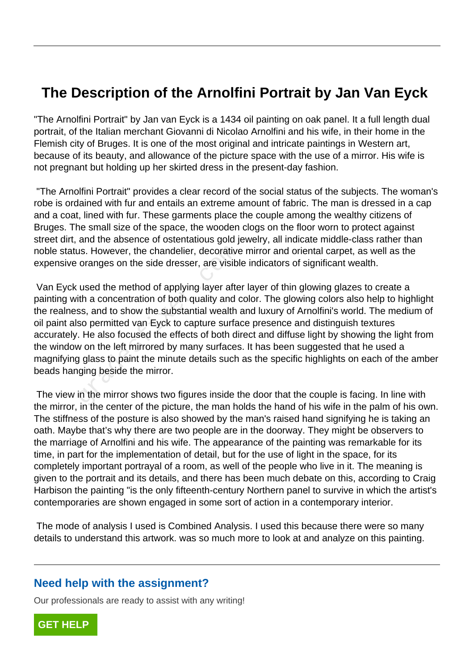## **The Description of the Arnolfini Portrait by Jan Van Eyck**

"The Arnolfini Portrait" by Jan van Eyck is a 1434 oil painting on oak panel. It a full length dual portrait, of the Italian merchant Giovanni di Nicolao Arnolfini and his wife, in their home in the Flemish city of Bruges. It is one of the most original and intricate paintings in Western art, because of its beauty, and allowance of the picture space with the use of a mirror. His wife is not pregnant but holding up her skirted dress in the present-day fashion.

 "The Arnolfini Portrait" provides a clear record of the social status of the subjects. The woman's robe is ordained with fur and entails an extreme amount of fabric. The man is dressed in a cap and a coat, lined with fur. These garments place the couple among the wealthy citizens of Bruges. The small size of the space, the wooden clogs on the floor worn to protect against street dirt, and the absence of ostentatious gold jewelry, all indicate middle-class rather than noble status. However, the chandelier, decorative mirror and oriental carpet, as well as the expensive oranges on the side dresser, are visible indicators of significant wealth.

 Van Eyck used the method of applying layer after layer of thin glowing glazes to create a painting with a concentration of both quality and color. The glowing colors also help to highlight the realness, and to show the substantial wealth and luxury of Arnolfini's world. The medium of oil paint also permitted van Eyck to capture surface presence and distinguish textures accurately. He also focused the effects of both direct and diffuse light by showing the light from the window on the left mirrored by many surfaces. It has been suggested that he used a magnifying glass to paint the minute details such as the specific highlights on each of the amber beads hanging beside the mirror. us. However, the chandelier, decorative<br>oranges on the side dresser, are visibl<br>used the method of applying layer afte<br>tith a concentration of both quality and  $\alpha$ <br>ss, and to show the substantial wealth<br>so permitted van E

 The view in the mirror shows two figures inside the door that the couple is facing. In line with the mirror, in the center of the picture, the man holds the hand of his wife in the palm of his own. The stiffness of the posture is also showed by the man's raised hand signifying he is taking an oath. Maybe that's why there are two people are in the doorway. They might be observers to the marriage of Arnolfini and his wife. The appearance of the painting was remarkable for its time, in part for the implementation of detail, but for the use of light in the space, for its completely important portrayal of a room, as well of the people who live in it. The meaning is given to the portrait and its details, and there has been much debate on this, according to Craig Harbison the painting "is the only fifteenth-century Northern panel to survive in which the artist's contemporaries are shown engaged in some sort of action in a contemporary interior.

 The mode of analysis I used is Combined Analysis. I used this because there were so many details to understand this artwork. was so much more to look at and analyze on this painting.

## **Need help with the assignment?**

Our professionals are ready to assist with any writing!